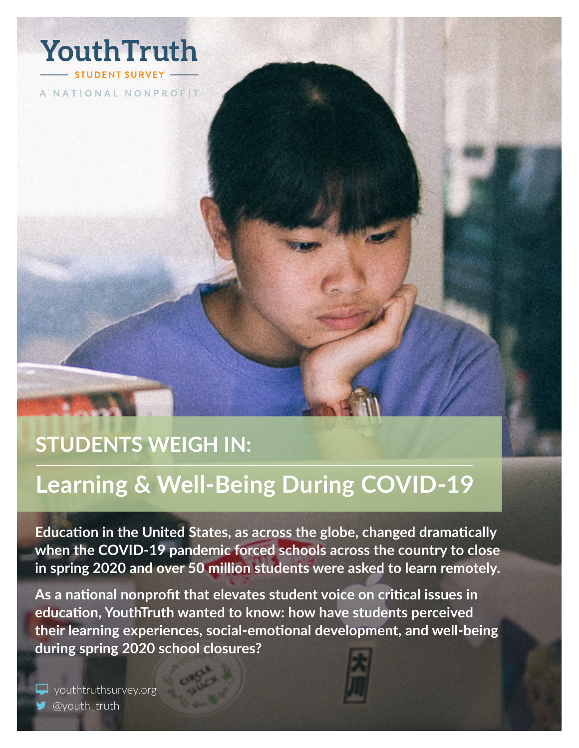

A NATIONAL NONPROFIT

# **STUDENTS WEIGH IN:**

# **Learning & Well-Being During COVID-19**

**Education in the United States, as across the globe, changed dramatically when the COVID-19 pandemic forced schools across the country to close in spring 2020 and over 50 million students were asked to learn remotely.**

**As a national nonprofit that elevates student voice on critical issues in education, YouthTruth wanted to know: how have students perceived their learning experiences, social-emotional development, and well-being during spring 2020 school closures?**

vouthtruthsurvey.org [@youth\\_truth](https://twitter.com/youth_truth)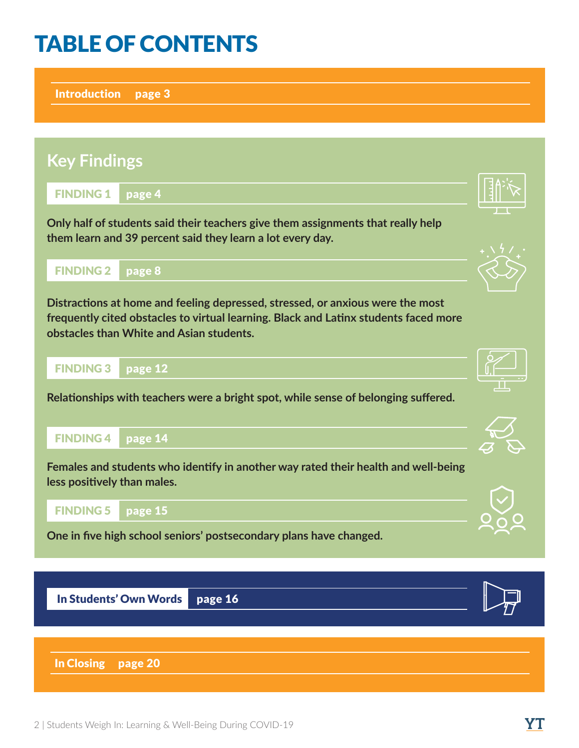# TABLE OF CONTENTS

[Introduction](#page-2-0) page 3

# [FINDING 1](#page-3-0) page 4 [FINDING 2](#page-7-0) page 8 [FINDING 3](#page-11-0) page 12 [FINDING 4](#page-13-0) page 14 [FINDING 5](#page-14-0) page 15 **Key Findings Only half of students said their teachers give them assignments that really help them learn and 39 percent said they learn a lot every day. Distractions at home and feeling depressed, stressed, or anxious were the most frequently cited obstacles to virtual learning. Black and Latinx students faced more obstacles than White and Asian students. Relationships with teachers were a bright spot, while sense of belonging suffered. Females and students who identify in another way rated their health and well-being less positively than males.**

**One in five high school seniors' postsecondary plans have changed.**

In Students' Own Words page 16

[In Closing](#page-19-0) page 20











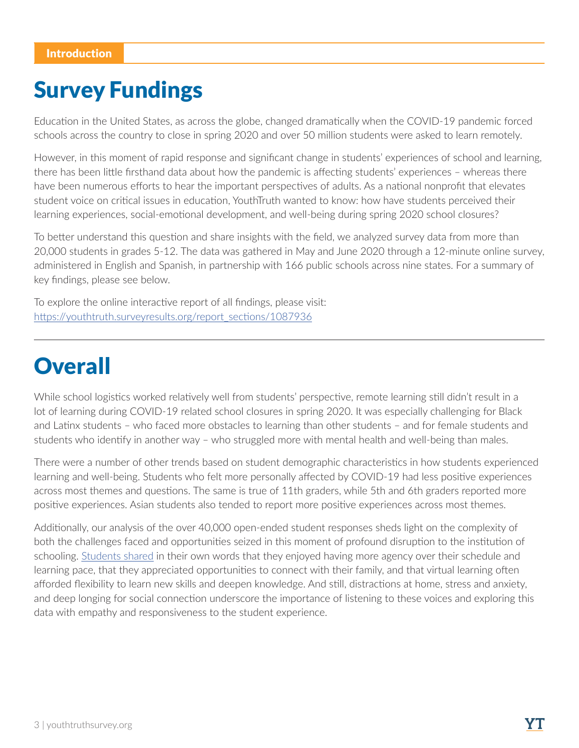# <span id="page-2-0"></span>Survey Fundings

Education in the United States, as across the globe, changed dramatically when the COVID-19 pandemic forced schools across the country to close in spring 2020 and over 50 million students were asked to learn remotely.

However, in this moment of rapid response and significant change in students' experiences of school and learning, there has been little firsthand data about how the pandemic is affecting students' experiences – whereas there have been numerous efforts to hear the important perspectives of adults. As a national nonprofit that elevates student voice on critical issues in education, YouthTruth wanted to know: how have students perceived their learning experiences, social-emotional development, and well-being during spring 2020 school closures?

To better understand this question and share insights with the field, we analyzed survey data from more than 20,000 students in grades 5-12. The data was gathered in May and June 2020 through a 12-minute online survey, administered in English and Spanish, in partnership with 166 public schools across nine states. For a summary of key findings, please see below.

To explore the online interactive report of all findings, please visit: [https://youthtruth.surveyresults.org/report\\_sections/1087936](https://youthtruth.surveyresults.org/report_sections/1087936)

# **Overall**

While school logistics worked relatively well from students' perspective, remote learning still didn't result in a lot of learning during COVID-19 related school closures in spring 2020. It was especially challenging for Black and Latinx students – who faced more obstacles to learning than other students – and for female students and students who identify in another way – who struggled more with mental health and well-being than males.

There were a number of other trends based on student demographic characteristics in how students experienced learning and well-being. Students who felt more personally affected by COVID-19 had less positive experiences across most themes and questions. The same is true of 11th graders, while 5th and 6th graders reported more positive experiences. Asian students also tended to report more positive experiences across most themes.

Additionally, our analysis of the over 40,000 open-ended student responses sheds light on the complexity of both the challenges faced and opportunities seized in this moment of profound disruption to the institution of schooling. [Students shared](https://youthtruthsurvey.org/student-weigh-in/#studentvoice) in their own words that they enjoyed having more agency over their schedule and learning pace, that they appreciated opportunities to connect with their family, and that virtual learning often afforded flexibility to learn new skills and deepen knowledge. And still, distractions at home, stress and anxiety, and deep longing for social connection underscore the importance of listening to these voices and exploring this data with empathy and responsiveness to the student experience.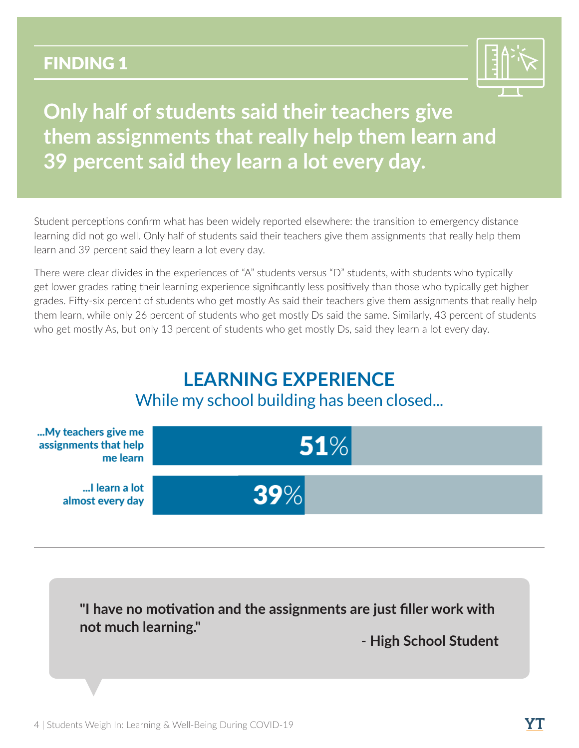

<span id="page-3-0"></span>**Only half of students said their teachers give them assignments that really help them learn and 39 percent said they learn a lot every day.**

Student perceptions confirm what has been widely reported elsewhere: the transition to emergency distance learning did not go well. Only half of students said their teachers give them assignments that really help them learn and 39 percent said they learn a lot every day.

There were clear divides in the experiences of "A" students versus "D" students, with students who typically get lower grades rating their learning experience significantly less positively than those who typically get higher grades. Fifty-six percent of students who get mostly As said their teachers give them assignments that really help them learn, while only 26 percent of students who get mostly Ds said the same. Similarly, 43 percent of students who get mostly As, but only 13 percent of students who get mostly Ds, said they learn a lot every day.

# **LEARNING EXPERIENCE** While my school building has been closed...



**"I have no motivation and the assignments are just filler work with not much learning."**

**- High School Student**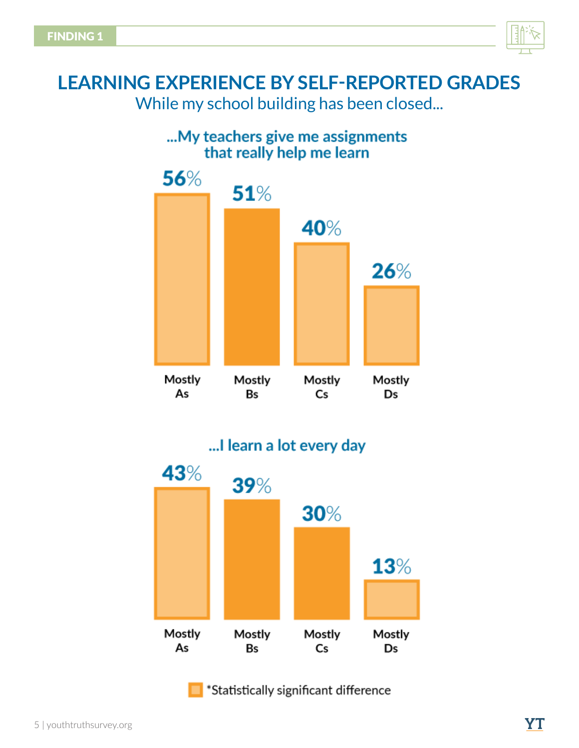

## ... My teachers give me assignments that really help me learn



## ... I learn a lot every day



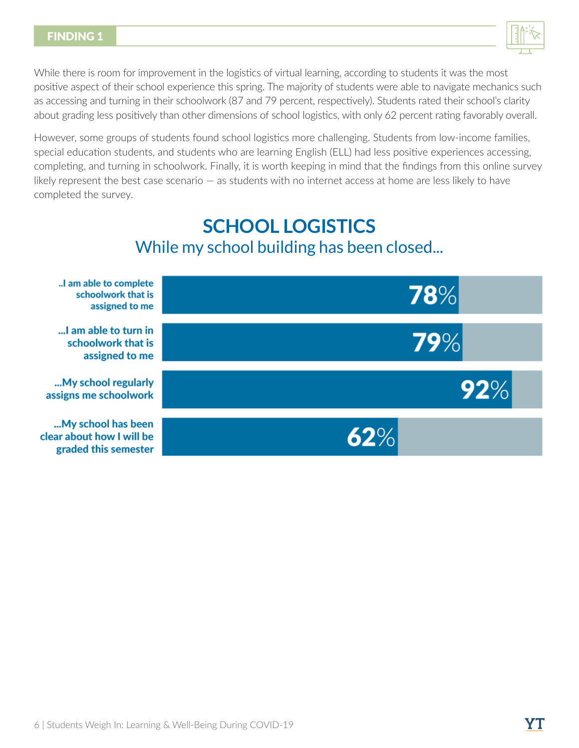

While there is room for improvement in the logistics of virtual learning, according to students it was the most positive aspect of their school experience this spring. The majority of students were able to navigate mechanics such as accessing and turning in their schoolwork (87 and 79 percent, respectively). Students rated their school's clarity about grading less positively than other dimensions of school logistics, with only 62 percent rating favorably overall.

However, some groups of students found school logistics more challenging. Students from low-income families, special education students, and students who are learning English (ELL) had less positive experiences accessing, completing, and turning in schoolwork. Finally, it is worth keeping in mind that the findings from this online survey likely represent the best case scenario — as students with no internet access at home are less likely to have completed the survey.

## **SCHOOL LOGISTICS** While my school building has been closed...

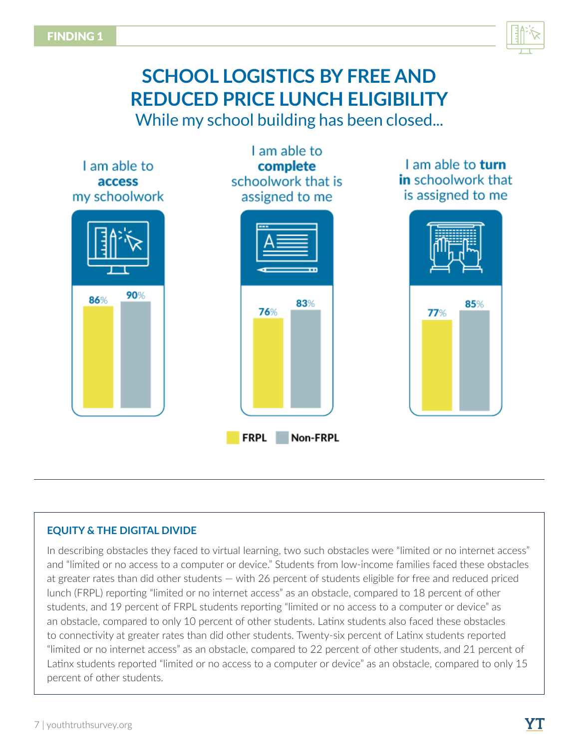

# **SCHOOL LOGISTICS BY FREE AND REDUCED PRICE LUNCH ELIGIBILITY**

While my school building has been closed...



### **EQUITY & THE DIGITAL DIVIDE**

In describing obstacles they faced to virtual learning, two such obstacles were "limited or no internet access" and "limited or no access to a computer or device." Students from low-income families faced these obstacles at greater rates than did other students — with 26 percent of students eligible for free and reduced priced lunch (FRPL) reporting "limited or no internet access" as an obstacle, compared to 18 percent of other students, and 19 percent of FRPL students reporting "limited or no access to a computer or device" as an obstacle, compared to only 10 percent of other students. Latinx students also faced these obstacles to connectivity at greater rates than did other students. Twenty-six percent of Latinx students reported "limited or no internet access" as an obstacle, compared to 22 percent of other students, and 21 percent of Latinx students reported "limited or no access to a computer or device" as an obstacle, compared to only 15 percent of other students.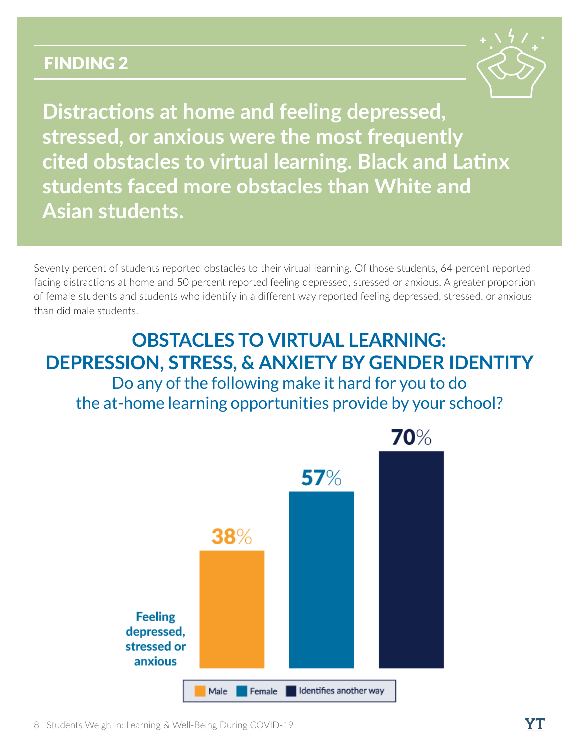

<span id="page-7-0"></span>**Distractions at home and feeling depressed, stressed, or anxious were the most frequently cited obstacles to virtual learning. Black and Latinx students faced more obstacles than White and Asian students.**

Seventy percent of students reported obstacles to their virtual learning. Of those students, 64 percent reported facing distractions at home and 50 percent reported feeling depressed, stressed or anxious. A greater proportion of female students and students who identify in a different way reported feeling depressed, stressed, or anxious than did male students.

## **OBSTACLES TO VIRTUAL LEARNING: DEPRESSION, STRESS, & ANXIETY BY GENDER IDENTITY** Do any of the following make it hard for you to do the at-home learning opportunities provide by your school?

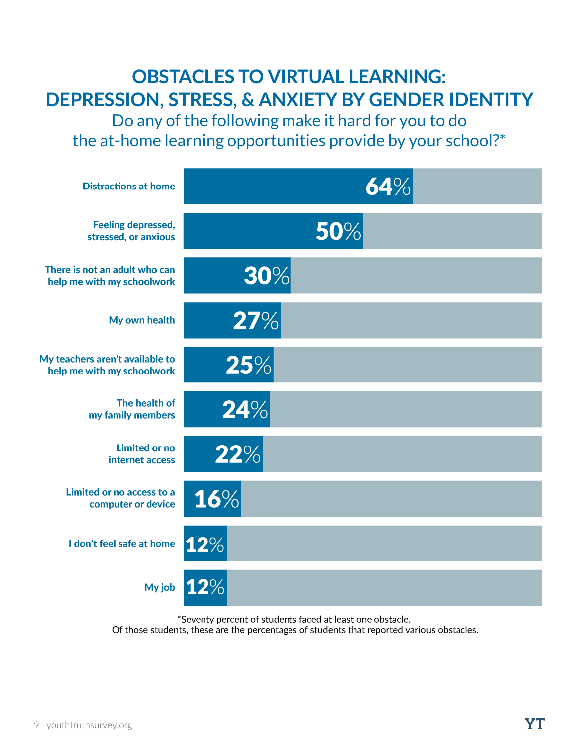# **OBSTACLES TO VIRTUAL LEARNING: DEPRESSION, STRESS, & ANXIETY BY GENDER IDENTITY**

Do any of the following make it hard for you to do the at-home learning opportunities provide by your school?\*



\*Seventy percent of students faced at least one obstacle.

Of those students, these are the percentages of students that reported various obstacles.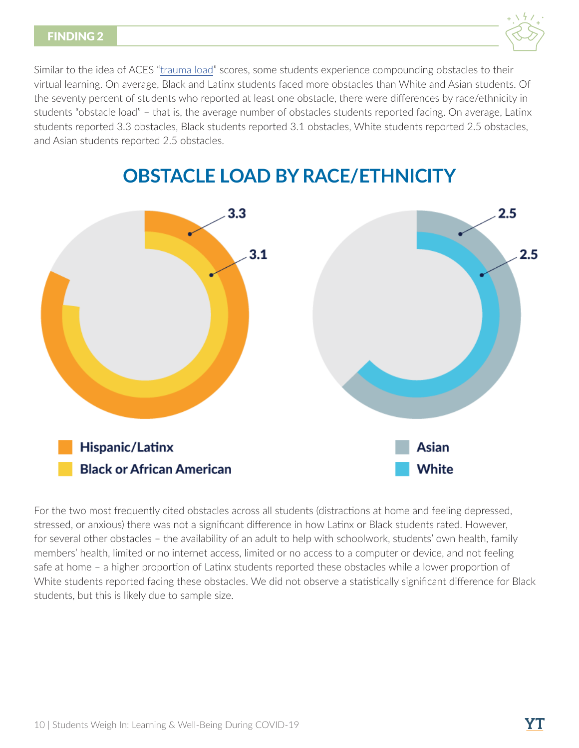

Similar to the idea of ACES "[trauma load"](https://www.cdc.gov/violenceprevention/acestudy/about.html) scores, some students experience compounding obstacles to their virtual learning. On average, Black and Latinx students faced more obstacles than White and Asian students. Of the seventy percent of students who reported at least one obstacle, there were differences by race/ethnicity in students "obstacle load" – that is, the average number of obstacles students reported facing. On average, Latinx students reported 3.3 obstacles, Black students reported 3.1 obstacles, White students reported 2.5 obstacles, and Asian students reported 2.5 obstacles.



## **OBSTACLE LOAD BY RACE/ETHNICITY**

For the two most frequently cited obstacles across all students (distractions at home and feeling depressed, stressed, or anxious) there was not a significant difference in how Latinx or Black students rated. However, for several other obstacles – the availability of an adult to help with schoolwork, students' own health, family members' health, limited or no internet access, limited or no access to a computer or device, and not feeling safe at home – a higher proportion of Latinx students reported these obstacles while a lower proportion of White students reported facing these obstacles. We did not observe a statistically significant difference for Black students, but this is likely due to sample size.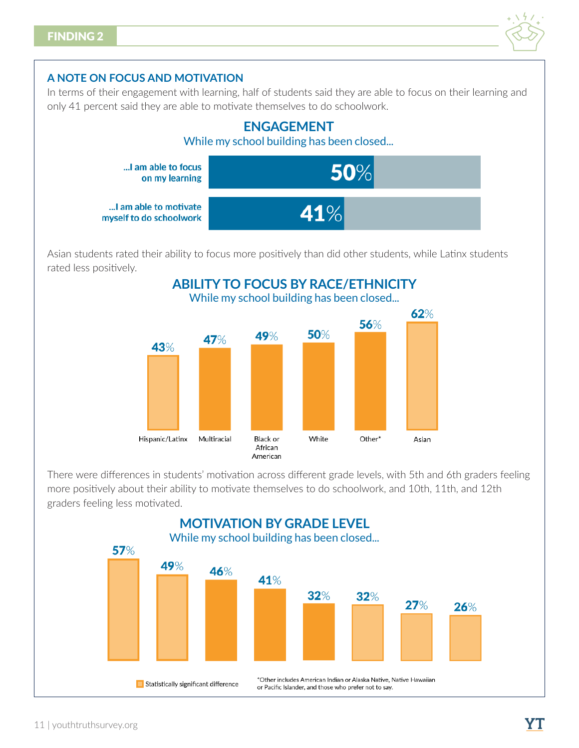

### **A NOTE ON FOCUS AND MOTIVATION**

In terms of their engagement with learning, half of students said they are able to focus on their learning and only 41 percent said they are able to motivate themselves to do schoolwork.



Asian students rated their ability to focus more positively than did other students, while Latinx students rated less positively.



There were differences in students' motivation across different grade levels, with 5th and 6th graders feeling more positively about their ability to motivate themselves to do schoolwork, and 10th, 11th, and 12th graders feeling less motivated.

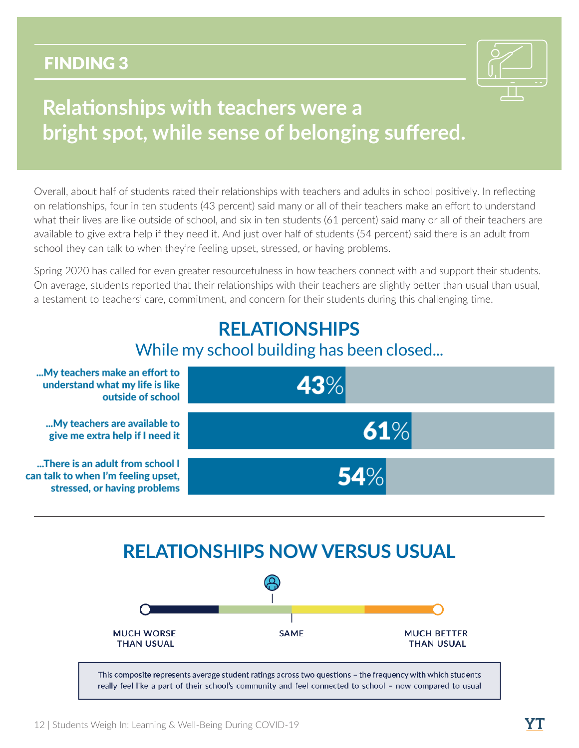

# <span id="page-11-0"></span>**Relationships with teachers were a bright spot, while sense of belonging suffered.**

Overall, about half of students rated their relationships with teachers and adults in school positively. In reflecting on relationships, four in ten students (43 percent) said many or all of their teachers make an effort to understand what their lives are like outside of school, and six in ten students (61 percent) said many or all of their teachers are available to give extra help if they need it. And just over half of students (54 percent) said there is an adult from school they can talk to when they're feeling upset, stressed, or having problems.

Spring 2020 has called for even greater resourcefulness in how teachers connect with and support their students. On average, students reported that their relationships with their teachers are slightly better than usual than usual, a testament to teachers' care, commitment, and concern for their students during this challenging time.

## **RELATIONSHIPS** While my school building has been closed...



## **RELATIONSHIPS NOW VERSUS USUAL**

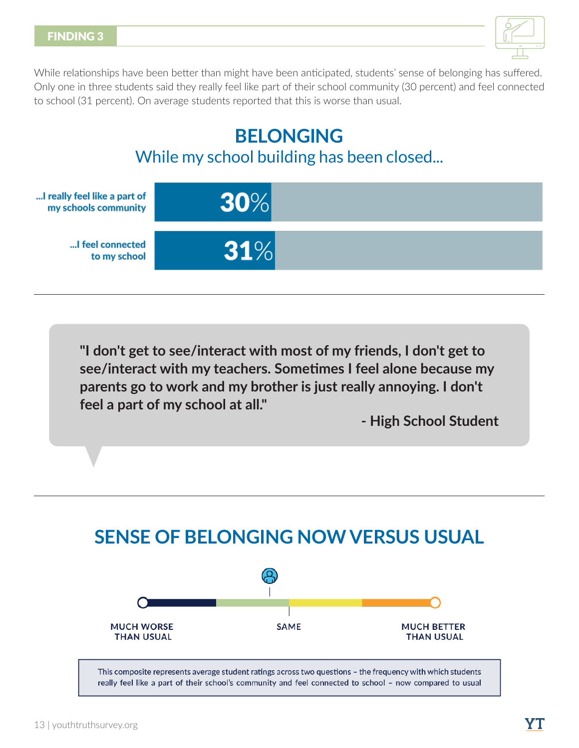

While relationships have been better than might have been anticipated, students' sense of belonging has suffered. Only one in three students said they really feel like part of their school community (30 percent) and feel connected to school (31 percent). On average students reported that this is worse than usual.

## **BELONGING** While my school building has been closed...



**"I don't get to see/interact with most of my friends, I don't get to see/interact with my teachers. Sometimes I feel alone because my parents go to work and my brother is just really annoying. I don't feel a part of my school at all."**

**- High School Student**

# **SENSE OF BELONGING NOW VERSUS USUAL**

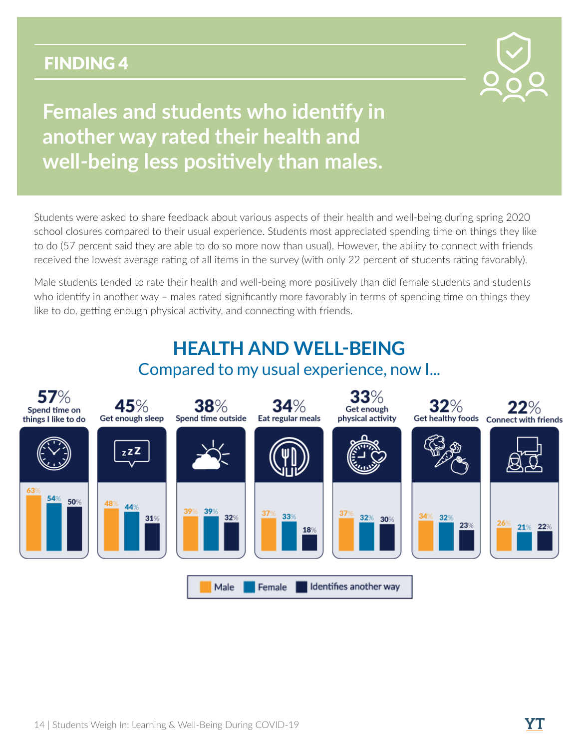

# <span id="page-13-0"></span>**Females and students who identify in another way rated their health and well-being less positively than males.**

Students were asked to share feedback about various aspects of their health and well-being during spring 2020 school closures compared to their usual experience. Students most appreciated spending time on things they like to do (57 percent said they are able to do so more now than usual). However, the ability to connect with friends received the lowest average rating of all items in the survey (with only 22 percent of students rating favorably).

Male students tended to rate their health and well-being more positively than did female students and students who identify in another way – males rated significantly more favorably in terms of spending time on things they like to do, getting enough physical activity, and connecting with friends.

#### **HEALTH AND WELL-BEING** Compared to my usual experience, now I...57% 33% 45% 34%  $32\%$ 38% Get enough Spend time on Get enough sleep Get healthy foods Connect with friends Spend time outside Eat regular meals physical activity things I like to do  $z$ zZ 50% 48 44% 32% 32%  $31%$ 30%  $23%$  $22%$ 21% 18% Identifies another way Male Female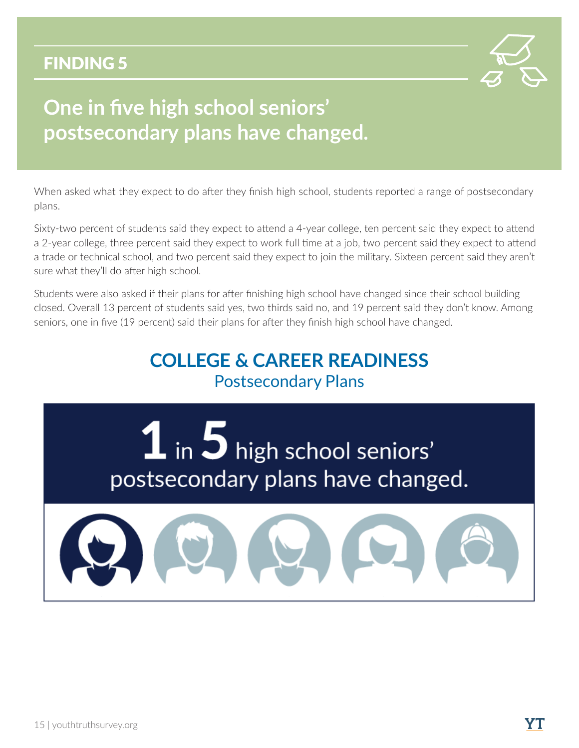

# <span id="page-14-0"></span>**One in five high school seniors' postsecondary plans have changed.**

When asked what they expect to do after they finish high school, students reported a range of postsecondary plans.

Sixty-two percent of students said they expect to attend a 4-year college, ten percent said they expect to attend a 2-year college, three percent said they expect to work full time at a job, two percent said they expect to attend a trade or technical school, and two percent said they expect to join the military. Sixteen percent said they aren't sure what they'll do after high school.

Students were also asked if their plans for after finishing high school have changed since their school building closed. Overall 13 percent of students said yes, two thirds said no, and 19 percent said they don't know. Among seniors, one in five (19 percent) said their plans for after they finish high school have changed.

## **COLLEGE & CAREER READINESS** Postsecondary Plans

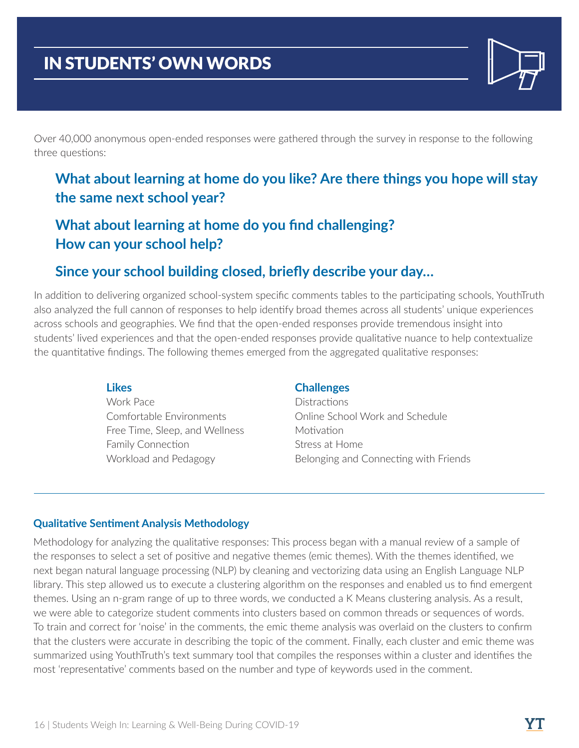## IN STUDENTS' OWN WORDS

Over 40,000 anonymous open-ended responses were gathered through the survey in response to the following three questions:

## **What about learning at home do you like? Are there things you hope will stay the same next school year?**

## **What about learning at home do you find challenging? How can your school help?**

## **Since your school building closed, briefly describe your day…**

In addition to delivering organized school-system specific comments tables to the participating schools, YouthTruth also analyzed the full cannon of responses to help identify broad themes across all students' unique experiences across schools and geographies. We find that the open-ended responses provide tremendous insight into students' lived experiences and that the open-ended responses provide qualitative nuance to help contextualize the quantitative findings. The following themes emerged from the aggregated qualitative responses:

### **Likes**

Work Pace Comfortable Environments Free Time, Sleep, and Wellness Family Connection Workload and Pedagogy

### **Challenges**

**Distractions** Online School Work and Schedule **Motivation** Stress at Home Belonging and Connecting with Friends

### **Qualitative Sentiment Analysis Methodology**

Methodology for analyzing the qualitative responses: This process began with a manual review of a sample of the responses to select a set of positive and negative themes (emic themes). With the themes identified, we next began natural language processing (NLP) by cleaning and vectorizing data using an English Language NLP library. This step allowed us to execute a clustering algorithm on the responses and enabled us to find emergent themes. Using an n-gram range of up to three words, we conducted a K Means clustering analysis. As a result, we were able to categorize student comments into clusters based on common threads or sequences of words. To train and correct for 'noise' in the comments, the emic theme analysis was overlaid on the clusters to confirm that the clusters were accurate in describing the topic of the comment. Finally, each cluster and emic theme was summarized using YouthTruth's text summary tool that compiles the responses within a cluster and identifies the most 'representative' comments based on the number and type of keywords used in the comment.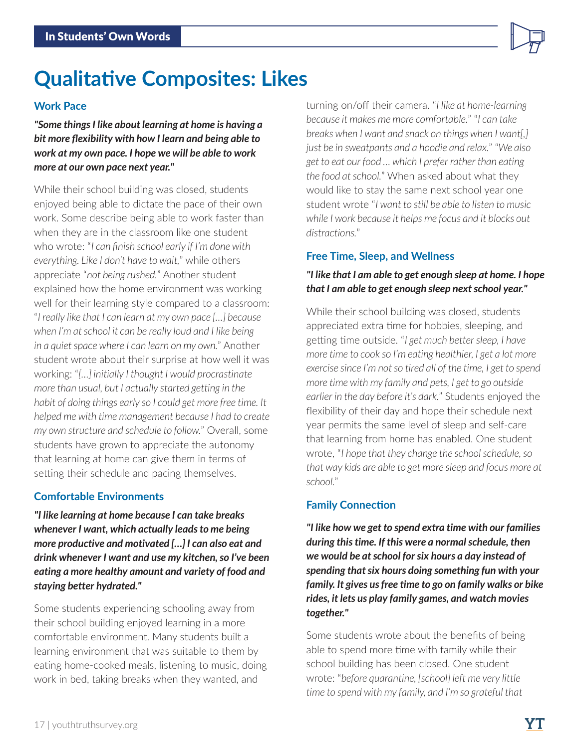# **Qualitative Composites: Likes**

### **Work Pace**

*"Some things I like about learning at home is having a bit more flexibility with how I learn and being able to work at my own pace. I hope we will be able to work more at our own pace next year."*

While their school building was closed, students enjoyed being able to dictate the pace of their own work. Some describe being able to work faster than when they are in the classroom like one student who wrote: "*I can finish school early if I'm done with everything. Like I don't have to wait,*" while others appreciate "*not being rushed.*" Another student explained how the home environment was working well for their learning style compared to a classroom: "*I really like that I can learn at my own pace […] because when I'm at school it can be really loud and I like being in a quiet space where I can learn on my own.*" Another student wrote about their surprise at how well it was working: "*[…] initially I thought I would procrastinate more than usual, but I actually started getting in the habit of doing things early so I could get more free time. It helped me with time management because I had to create my own structure and schedule to follow.*" Overall, some students have grown to appreciate the autonomy that learning at home can give them in terms of setting their schedule and pacing themselves.

### **Comfortable Environments**

*"I like learning at home because I can take breaks whenever I want, which actually leads to me being more productive and motivated […] I can also eat and drink whenever I want and use my kitchen, so I've been eating a more healthy amount and variety of food and staying better hydrated."*

Some students experiencing schooling away from their school building enjoyed learning in a more comfortable environment. Many students built a learning environment that was suitable to them by eating home-cooked meals, listening to music, doing work in bed, taking breaks when they wanted, and

turning on/off their camera. "*I like at home-learning because it makes me more comfortable.*" "*I can take breaks when I want and snack on things when I want[,] just be in sweatpants and a hoodie and relax.*" "*We also get to eat our food … which I prefer rather than eating the food at school.*" When asked about what they would like to stay the same next school year one student wrote "*I want to still be able to listen to music while I work because it helps me focus and it blocks out distractions.*"

### **Free Time, Sleep, and Wellness**

### *"I like that I am able to get enough sleep at home. I hope that I am able to get enough sleep next school year."*

While their school building was closed, students appreciated extra time for hobbies, sleeping, and getting time outside. "*I get much better sleep, I have more time to cook so I'm eating healthier, I get a lot more exercise since I'm not so tired all of the time, I get to spend more time with my family and pets, I get to go outside earlier in the day before it's dark.*" Students enjoyed the flexibility of their day and hope their schedule next year permits the same level of sleep and self-care that learning from home has enabled. One student wrote, "*I hope that they change the school schedule, so that way kids are able to get more sleep and focus more at school.*"

## **Family Connection**

*"I like how we get to spend extra time with our families during this time. If this were a normal schedule, then we would be at school for six hours a day instead of spending that six hours doing something fun with your family. It gives us free time to go on family walks or bike rides, it lets us play family games, and watch movies together."*

Some students wrote about the benefits of being able to spend more time with family while their school building has been closed. One student wrote: "*before quarantine, [school] left me very little time to spend with my family, and I'm so grateful that*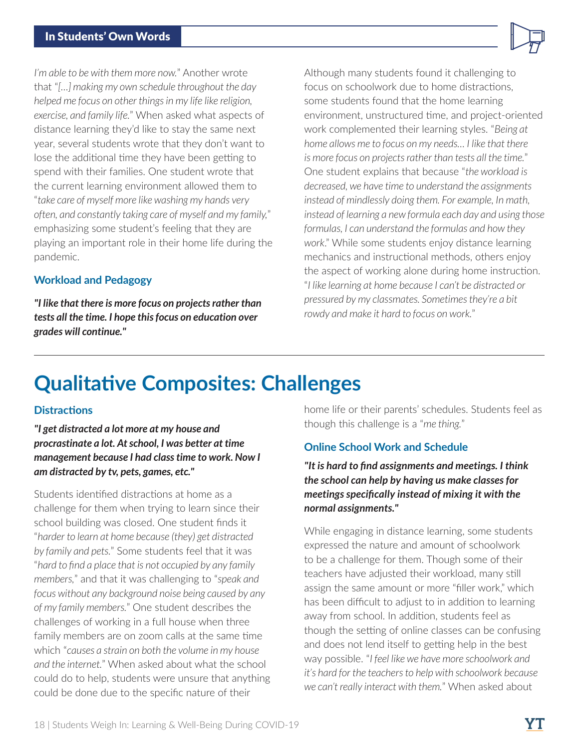*I'm able to be with them more now.*" Another wrote that "*[…] making my own schedule throughout the day helped me focus on other things in my life like religion, exercise, and family life.*" When asked what aspects of distance learning they'd like to stay the same next year, several students wrote that they don't want to lose the additional time they have been getting to spend with their families. One student wrote that the current learning environment allowed them to "*take care of myself more like washing my hands very often, and constantly taking care of myself and my family,*" emphasizing some student's feeling that they are playing an important role in their home life during the pandemic.

### **Workload and Pedagogy**

*"I like that there is more focus on projects rather than tests all the time. I hope this focus on education over grades will continue."*

Although many students found it challenging to focus on schoolwork due to home distractions, some students found that the home learning environment, unstructured time, and project-oriented work complemented their learning styles. "*Being at home allows me to focus on my needs… I like that there is more focus on projects rather than tests all the time.*" One student explains that because "*the workload is decreased, we have time to understand the assignments instead of mindlessly doing them. For example, In math, instead of learning a new formula each day and using those formulas, I can understand the formulas and how they work*." While some students enjoy distance learning mechanics and instructional methods, others enjoy the aspect of working alone during home instruction. "*I like learning at home because I can't be distracted or pressured by my classmates. Sometimes they're a bit rowdy and make it hard to focus on work.*"

# **Qualitative Composites: Challenges**

### **Distractions**

*"I get distracted a lot more at my house and procrastinate a lot. At school, I was better at time management because I had class time to work. Now I am distracted by tv, pets, games, etc."*

Students identified distractions at home as a challenge for them when trying to learn since their school building was closed. One student finds it "*harder to learn at home because (they) get distracted by family and pets.*" Some students feel that it was "*hard to find a place that is not occupied by any family members,*" and that it was challenging to "*speak and focus without any background noise being caused by any of my family members.*" One student describes the challenges of working in a full house when three family members are on zoom calls at the same time which "*causes a strain on both the volume in my house and the internet.*" When asked about what the school could do to help, students were unsure that anything could be done due to the specific nature of their

home life or their parents' schedules. Students feel as though this challenge is a "*me thing.*"

### **Online School Work and Schedule**

*"It is hard to find assignments and meetings. I think the school can help by having us make classes for meetings specifically instead of mixing it with the normal assignments."*

While engaging in distance learning, some students expressed the nature and amount of schoolwork to be a challenge for them. Though some of their teachers have adjusted their workload, many still assign the same amount or more "filler work," which has been difficult to adjust to in addition to learning away from school. In addition, students feel as though the setting of online classes can be confusing and does not lend itself to getting help in the best way possible. "*I feel like we have more schoolwork and it's hard for the teachers to help with schoolwork because we can't really interact with them.*" When asked about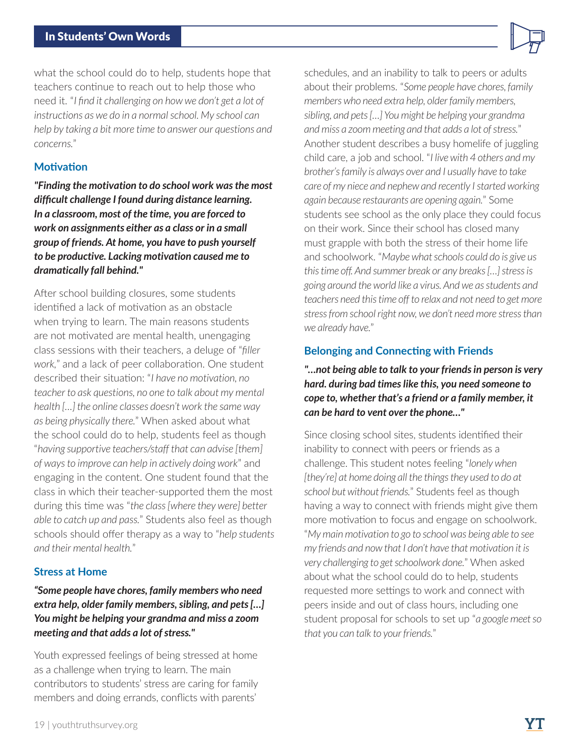#### In Students' Own Words

what the school could do to help, students hope that teachers continue to reach out to help those who need it. "*I find it challenging on how we don't get a lot of instructions as we do in a normal school. My school can help by taking a bit more time to answer our questions and concerns.*"

#### **Motivation**

*"Finding the motivation to do school work was the most difficult challenge I found during distance learning. In a classroom, most of the time, you are forced to work on assignments either as a class or in a small group of friends. At home, you have to push yourself to be productive. Lacking motivation caused me to dramatically fall behind."*

After school building closures, some students identified a lack of motivation as an obstacle when trying to learn. The main reasons students are not motivated are mental health, unengaging class sessions with their teachers, a deluge of "*filler work,*" and a lack of peer collaboration. One student described their situation: "*I have no motivation, no teacher to ask questions, no one to talk about my mental health […] the online classes doesn't work the same way as being physically there.*" When asked about what the school could do to help, students feel as though "*having supportive teachers/staff that can advise [them] of ways to improve can help in actively doing work*" and engaging in the content. One student found that the class in which their teacher-supported them the most during this time was "*the class [where they were] better able to catch up and pass.*" Students also feel as though schools should offer therapy as a way to "*help students and their mental health.*"

#### **Stress at Home**

### *"Some people have chores, family members who need extra help, older family members, sibling, and pets […] You might be helping your grandma and miss a zoom meeting and that adds a lot of stress."*

Youth expressed feelings of being stressed at home as a challenge when trying to learn. The main contributors to students' stress are caring for family members and doing errands, conflicts with parents'

schedules, and an inability to talk to peers or adults about their problems. "*Some people have chores, family members who need extra help, older family members, sibling, and pets […] You might be helping your grandma and miss a zoom meeting and that adds a lot of stress.*" Another student describes a busy homelife of juggling child care, a job and school. "*I live with 4 others and my brother's family is always over and I usually have to take care of my niece and nephew and recently I started working again because restaurants are opening again.*" Some students see school as the only place they could focus on their work. Since their school has closed many must grapple with both the stress of their home life and schoolwork. "*Maybe what schools could do is give us this time off. And summer break or any breaks […] stress is going around the world like a virus. And we as students and teachers need this time off to relax and not need to get more stress from school right now, we don't need more stress than we already have.*"

### **Belonging and Connecting with Friends**

*"…not being able to talk to your friends in person is very hard. during bad times like this, you need someone to cope to, whether that's a friend or a family member, it can be hard to vent over the phone…"*

Since closing school sites, students identified their inability to connect with peers or friends as a challenge. This student notes feeling "*lonely when [they're] at home doing all the things they used to do at school but without friends.*" Students feel as though having a way to connect with friends might give them more motivation to focus and engage on schoolwork. "*My main motivation to go to school was being able to see my friends and now that I don't have that motivation it is very challenging to get schoolwork done.*" When asked about what the school could do to help, students requested more settings to work and connect with peers inside and out of class hours, including one student proposal for schools to set up "*a google meet so that you can talk to your friends.*"